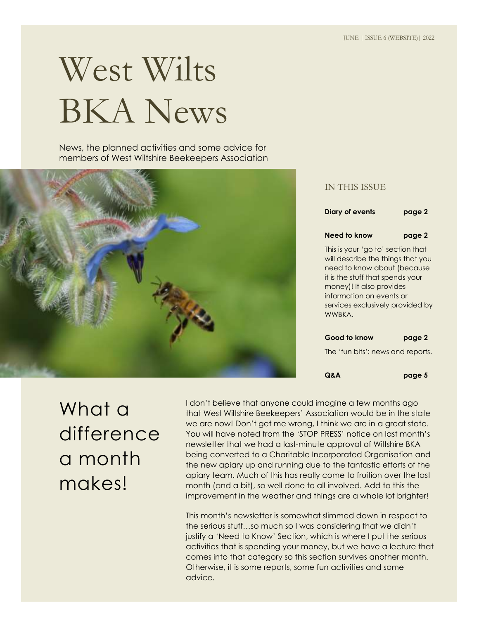# West Wilts BKA News

News, the planned activities and some advice for members of West Wiltshire Beekeepers Association



#### IN THIS ISSUE

**Diary of events pag[e 2](#page-1-0)**

#### **Need to know pag[e 2](#page-1-1)**

This is your 'go to' section that will describe the things that you need to know about (because it is the stuff that spends your money)! It also provides information on events or services exclusively provided by WWBKA.

#### **Good to know pag[e 2](#page-1-2)**

The 'fun bits': news and reports.

**Q&A pag[e 5](#page-4-0)**

What a difference a month makes!

I don't believe that anyone could imagine a few months ago that West Wiltshire Beekeepers' Association would be in the state we are now! Don't get me wrong, I think we are in a great state. You will have noted from the 'STOP PRESS' notice on last month's newsletter that we had a last-minute approval of Wiltshire BKA being converted to a Charitable Incorporated Organisation and the new apiary up and running due to the fantastic efforts of the apiary team. Much of this has really come to fruition over the last month (and a bit), so well done to all involved. Add to this the improvement in the weather and things are a whole lot brighter!

This month's newsletter is somewhat slimmed down in respect to the serious stuff…so much so I was considering that we didn't justify a 'Need to Know' Section, which is where I put the serious activities that is spending your money, but we have a lecture that comes into that category so this section survives another month. Otherwise, it is some reports, some fun activities and some advice.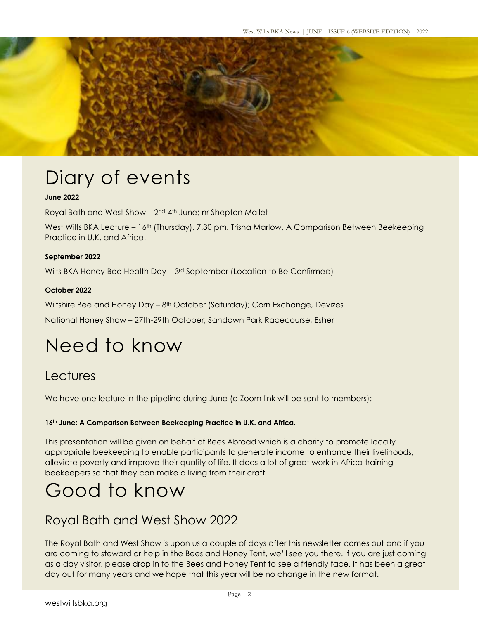<span id="page-1-0"></span>

# Diary of events

#### **June 2022**

Royal Bath and West Show - 2<sup>nd</sup>-4<sup>th</sup> June; nr Shepton Mallet

West Wilts BKA Lecture – 16th (Thursday), 7.30 pm. Trisha Marlow, A Comparison Between Beekeeping Practice in U.K. and Africa.

#### **September 2022**

Wilts BKA Honey Bee Health Day - 3<sup>rd</sup> September (Location to Be Confirmed)

#### **October 2022**

Wiltshire Bee and Honey Day – 8th October (Saturday); Corn Exchange, Devizes

<span id="page-1-1"></span>National Honey Show – 27th-29th October; Sandown Park Racecourse, Esher

# Need to know

#### **Lectures**

We have one lecture in the pipeline during June (a Zoom link will be sent to members):

#### **16th June: A Comparison Between Beekeeping Practice in U.K. and Africa.**

This presentation will be given on behalf of Bees Abroad which is a charity to promote locally appropriate beekeeping to enable participants to generate income to enhance their livelihoods, alleviate poverty and improve their quality of life. It does a lot of great work in Africa training beekeepers so that they can make a living from their craft.

# <span id="page-1-2"></span>Good to know

#### Royal Bath and West Show 2022

The Royal Bath and West Show is upon us a couple of days after this newsletter comes out and if you are coming to steward or help in the Bees and Honey Tent, we'll see you there. If you are just coming as a day visitor, please drop in to the Bees and Honey Tent to see a friendly face. It has been a great day out for many years and we hope that this year will be no change in the new format.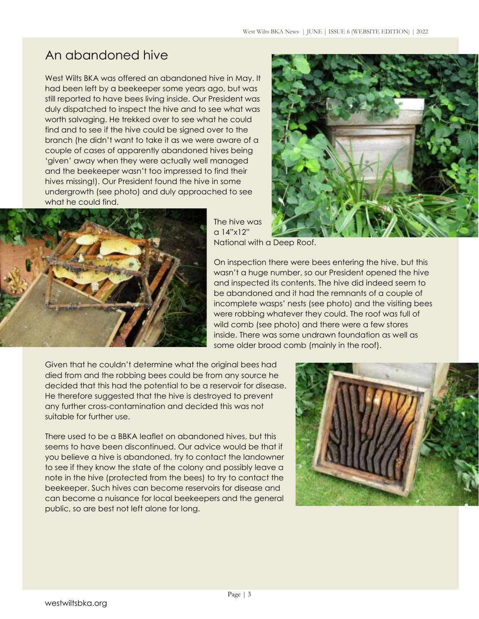### An abandoned hive

West Wilts BKA was offered an abandoned hive in May. It had been left by a beekeeper some years ago, but was still reported to have bees living inside. Our President was duly dispatched to inspect the hive and to see what was worth salvaging. He trekked over to see what he could find and to see if the hive could be signed over to the branch (he didn't want to take it as we were aware of a couple of cases of apparently abandoned hives being 'given' away when they were actually well managed and the beekeeper wasn't too impressed to find their hives missing!). Our President found the hive in some undergrowth (see photo) and duly approached to see what he could find.





The hive was a 14"x12" National with a Deep Roof.

On inspection there were bees entering the hive, but this wasn't a huge number, so our President opened the hive and inspected its contents. The hive did indeed seem to be abandoned and it had the remnants of a couple of incomplete wasps' nests (see photo) and the visiting bees were robbing whatever they could. The roof was full of wild comb (see photo) and there were a few stores inside. There was some undrawn foundation as well as some older brood comb (mainly in the roof).

Given that he couldn't determine what the original bees had died from and the robbing bees could be from any source he decided that this had the potential to be a reservoir for disease. He therefore suggested that the hive is destroyed to prevent any further cross-contamination and decided this was not suitable for further use.

There used to be a BBKA leaflet on abandoned hives, but this seems to have been discontinued. Our advice would be that if you believe a hive is abandoned, try to contact the landowner to see if they know the state of the colony and possibly leave a note in the hive (protected from the bees) to try to contact the beekeeper. Such hives can become reservoirs for disease and can become a nuisance for local beekeepers and the general public, so are best not left alone for long.

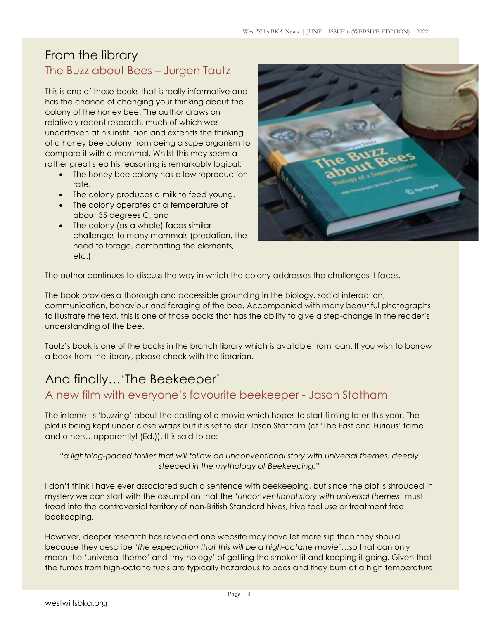#### From the library The Buzz about Bees – Jurgen Tautz

This is one of those books that is really informative and has the chance of changing your thinking about the colony of the honey bee. The author draws on relatively recent research, much of which was undertaken at his institution and extends the thinking of a honey bee colony from being a superorganism to compare it with a mammal. Whilst this may seem a rather great step his reasoning is remarkably logical:

- The honey bee colony has a low reproduction rate.
- The colony produces a milk to feed young.
- The colony operates at a temperature of about 35 degrees C, and
- The colony (as a whole) faces similar challenges to many mammals (predation, the need to forage, combatting the elements, etc.).



The author continues to discuss the way in which the colony addresses the challenges it faces.

The book provides a thorough and accessible grounding in the biology, social interaction, communication, behaviour and foraging of the bee. Accompanied with many beautiful photographs to illustrate the text, this is one of those books that has the ability to give a step-change in the reader's understanding of the bee.

Tautz's book is one of the books in the branch library which is available from loan. If you wish to borrow a book from the library, please check with the librarian.

### And finally…'The Beekeeper'

#### A new film with everyone's favourite beekeeper - Jason Statham

The internet is 'buzzing' about the casting of a movie which hopes to start filming later this year. The plot is being kept under close wraps but it is set to star Jason Statham (of 'The Fast and Furious' fame and others…apparently! (Ed.)). It is said to be:

*"a lightning-paced thriller that will follow an unconventional story with universal themes, deeply steeped in the mythology of Beekeeping."*

I don't think I have ever associated such a sentence with beekeeping, but since the plot is shrouded in mystery we can start with the assumption that the '*unconventional story with universal themes'* must tread into the controversial territory of non-British Standard hives, hive tool use or treatment free beekeeping.

However, deeper research has revealed one website may have let more slip than they should because they describe *'the expectation that this will be a high-octane movie'*…so that can only mean the 'universal theme' and 'mythology' of getting the smoker lit and keeping it going. Given that the fumes from high-octane fuels are typically hazardous to bees and they burn at a high temperature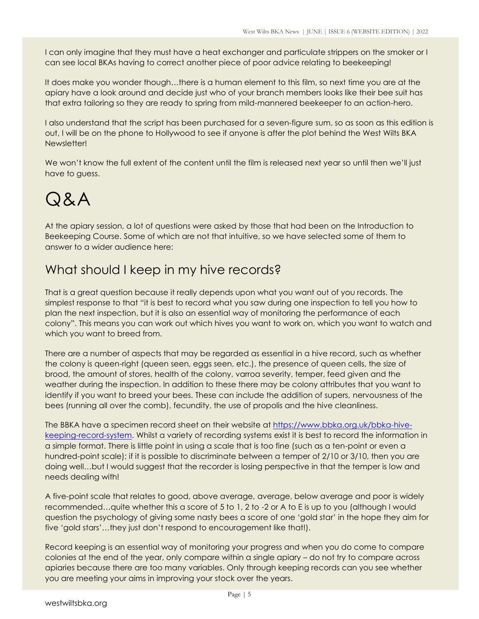I can only imagine that they must have a heat exchanger and particulate strippers on the smoker or I can see local BKAs having to correct another piece of poor advice relating to beekeeping!

It does make you wonder though…there is a human element to this film, so next time you are at the apiary have a look around and decide just who of your branch members looks like their bee suit has that extra tailoring so they are ready to spring from mild-mannered beekeeper to an action-hero.

I also understand that the script has been purchased for a seven-figure sum, so as soon as this edition is out, I will be on the phone to Hollywood to see if anyone is after the plot behind the West Wilts BKA Newsletter!

We won't know the full extent of the content until the film is released next year so until then we'll just have to guess.

# <span id="page-4-0"></span>Q&A

At the apiary session, a lot of questions were asked by those that had been on the Introduction to Beekeeping Course. Some of which are not that intuitive, so we have selected some of them to answer to a wider audience here:

### What should I keep in my hive records?

That is a great question because it really depends upon what you want out of you records. The simplest response to that "it is best to record what you saw during one inspection to tell you how to plan the next inspection, but it is also an essential way of monitoring the performance of each colony". This means you can work out which hives you want to work on, which you want to watch and which you want to breed from.

There are a number of aspects that may be regarded as essential in a hive record, such as whether the colony is queen-right (queen seen, eggs seen, etc.), the presence of queen cells, the size of brood, the amount of stores, health of the colony, varroa severity, temper, feed given and the weather during the inspection. In addition to these there may be colony attributes that you want to identify if you want to breed your bees. These can include the addition of supers, nervousness of the bees (running all over the comb), fecundity, the use of propolis and the hive cleanliness.

The BBKA have a specimen record sheet on their website at [https://www.bbka.org.uk/bbka-hive](https://www.bbka.org.uk/bbka-hive-keeping-record-system)[keeping-record-system.](https://www.bbka.org.uk/bbka-hive-keeping-record-system) Whilst a variety of recording systems exist it is best to record the information in a simple format. There is little point in using a scale that is too fine (such as a ten-point or even a hundred-point scale); if it is possible to discriminate between a temper of 2/10 or 3/10, then you are doing well…but I would suggest that the recorder is losing perspective in that the temper is low and needs dealing with!

A five-point scale that relates to good, above average, average, below average and poor is widely recommended…quite whether this a score of 5 to 1, 2 to -2 or A to E is up to you (although I would question the psychology of giving some nasty bees a score of one 'gold star' in the hope they aim for five 'gold stars'…they just don't respond to encouragement like that!).

Record keeping is an essential way of monitoring your progress and when you do come to compare colonies at the end of the year, only compare within a single apiary – do not try to compare across apiaries because there are too many variables. Only through keeping records can you see whether you are meeting your aims in improving your stock over the years.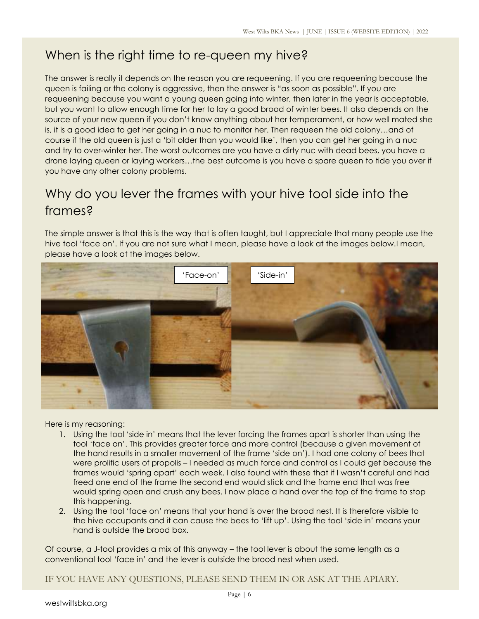### When is the right time to re-queen my hive?

The answer is really it depends on the reason you are requeening. If you are requeening because the queen is failing or the colony is aggressive, then the answer is "as soon as possible". If you are requeening because you want a young queen going into winter, then later in the year is acceptable, but you want to allow enough time for her to lay a good brood of winter bees. It also depends on the source of your new queen if you don't know anything about her temperament, or how well mated she is, it is a good idea to get her going in a nuc to monitor her. Then requeen the old colony…and of course if the old queen is just a 'bit older than you would like', then you can get her going in a nuc and try to over-winter her. The worst outcomes are you have a dirty nuc with dead bees, you have a drone laying queen or laying workers…the best outcome is you have a spare queen to tide you over if you have any other colony problems.

### Why do you lever the frames with your hive tool side into the frames?

The simple answer is that this is the way that is often taught, but I appreciate that many people use the hive tool 'face on'. If you are not sure what I mean, please have a look at the images below.I mean, please have a look at the images below.



Here is my reasoning:

- 1. Using the tool 'side in' means that the lever forcing the frames apart is shorter than using the tool 'face on'. This provides greater force and more control (because a given movement of the hand results in a smaller movement of the frame 'side on'). I had one colony of bees that were prolific users of propolis – I needed as much force and control as I could get because the frames would 'spring apart' each week. I also found with these that if I wasn't careful and had freed one end of the frame the second end would stick and the frame end that was free would spring open and crush any bees. I now place a hand over the top of the frame to stop this happening.
- 2. Using the tool 'face on' means that your hand is over the brood nest. It is therefore visible to the hive occupants and it can cause the bees to 'lift up'. Using the tool 'side in' means your hand is outside the brood box.

Of course, a J-tool provides a mix of this anyway – the tool lever is about the same length as a conventional tool 'face in' and the lever is outside the brood nest when used.

IF YOU HAVE ANY QUESTIONS, PLEASE SEND THEM IN OR ASK AT THE APIARY.